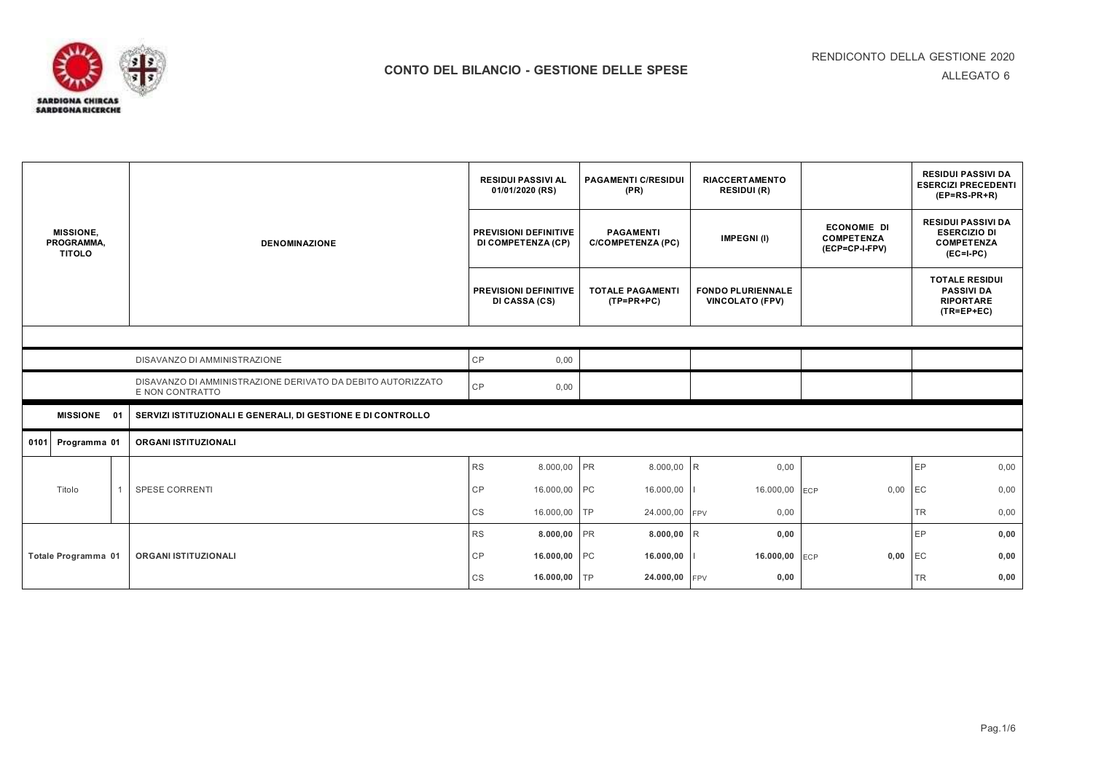

SARDIGNA CHIRCAS<br>SARDEGNA RICERCHE

| <b>MISSIONE.</b><br>PROGRAMMA,<br><b>TITOLO</b> |                     |                                                                                | <b>RESIDUI PASSIVI AL</b><br>01/01/2020 (RS)       | <b>PAGAMENTI C/RESIDUI</b><br>(PR)           | <b>RIACCERTAMENTO</b><br><b>RESIDUI (R)</b>        |                                                           | <b>RESIDUI PASSIVI DA</b><br><b>ESERCIZI PRECEDENTI</b><br>$(EP=RS-PR+R)$            |  |  |  |
|-------------------------------------------------|---------------------|--------------------------------------------------------------------------------|----------------------------------------------------|----------------------------------------------|----------------------------------------------------|-----------------------------------------------------------|--------------------------------------------------------------------------------------|--|--|--|
|                                                 |                     | <b>DENOMINAZIONE</b>                                                           | <b>PREVISIONI DEFINITIVE</b><br>DI COMPETENZA (CP) | <b>PAGAMENTI</b><br><b>C/COMPETENZA (PC)</b> | <b>IMPEGNI(I)</b>                                  | <b>ECONOMIE DI</b><br><b>COMPETENZA</b><br>(ECP=CP-I-FPV) | <b>RESIDUI PASSIVI DA</b><br><b>ESERCIZIO DI</b><br><b>COMPETENZA</b><br>$(EC=I-PC)$ |  |  |  |
|                                                 |                     |                                                                                | PREVISIONI DEFINITIVE<br>DI CASSA (CS)             | <b>TOTALE PAGAMENTI</b><br>$(TP=PR+PC)$      | <b>FONDO PLURIENNALE</b><br><b>VINCOLATO (FPV)</b> |                                                           | <b>TOTALE RESIDUI</b><br><b>PASSIVI DA</b><br><b>RIPORTARE</b><br>$(TR=EP+EC)$       |  |  |  |
|                                                 |                     |                                                                                |                                                    |                                              |                                                    |                                                           |                                                                                      |  |  |  |
|                                                 |                     | DISAVANZO DI AMMINISTRAZIONE                                                   | CP<br>0,00                                         |                                              |                                                    |                                                           |                                                                                      |  |  |  |
|                                                 |                     | DISAVANZO DI AMMINISTRAZIONE DERIVATO DA DEBITO AUTORIZZATO<br>E NON CONTRATTO | CP<br>0,00                                         |                                              |                                                    |                                                           |                                                                                      |  |  |  |
|                                                 | MISSIONE 01         | SERVIZI ISTITUZIONALI E GENERALI, DI GESTIONE E DI CONTROLLO                   |                                                    |                                              |                                                    |                                                           |                                                                                      |  |  |  |
| 0101                                            | Programma 01        | ORGANI ISTITUZIONALI                                                           |                                                    |                                              |                                                    |                                                           |                                                                                      |  |  |  |
|                                                 |                     |                                                                                | <b>RS</b><br>8.000,00                              | <b>PR</b><br>8.000,00                        | 0,00<br>R                                          |                                                           | EP<br>0,00                                                                           |  |  |  |
| Titolo                                          | $\overline{1}$      | <b>SPESE CORRENTI</b>                                                          | <b>CP</b><br>16.000,00 PC                          | 16.000,00                                    | 16.000,00 ECP                                      | 0,00                                                      | EC<br>0,00                                                                           |  |  |  |
|                                                 |                     |                                                                                | CS<br>16.000,00                                    | <b>TP</b><br>24.000,00                       | <b>FPV</b><br>0,00                                 |                                                           | 0,00<br>TR                                                                           |  |  |  |
|                                                 |                     |                                                                                | <b>RS</b><br>8.000,00                              | PR<br>8.000,00                               | R<br>0,00                                          |                                                           | 0,00<br>EP                                                                           |  |  |  |
|                                                 | Totale Programma 01 | <b>ORGANI ISTITUZIONALI</b>                                                    | CP<br>16.000,00 PC                                 | 16.000,00                                    | 16.000,00 ECP                                      | 0,00                                                      | EC<br>0,00                                                                           |  |  |  |
|                                                 |                     |                                                                                | CS<br>16.000,00                                    | 24.000,00 FPV<br><b>TP</b>                   | 0,00                                               |                                                           | 0,00<br>TR                                                                           |  |  |  |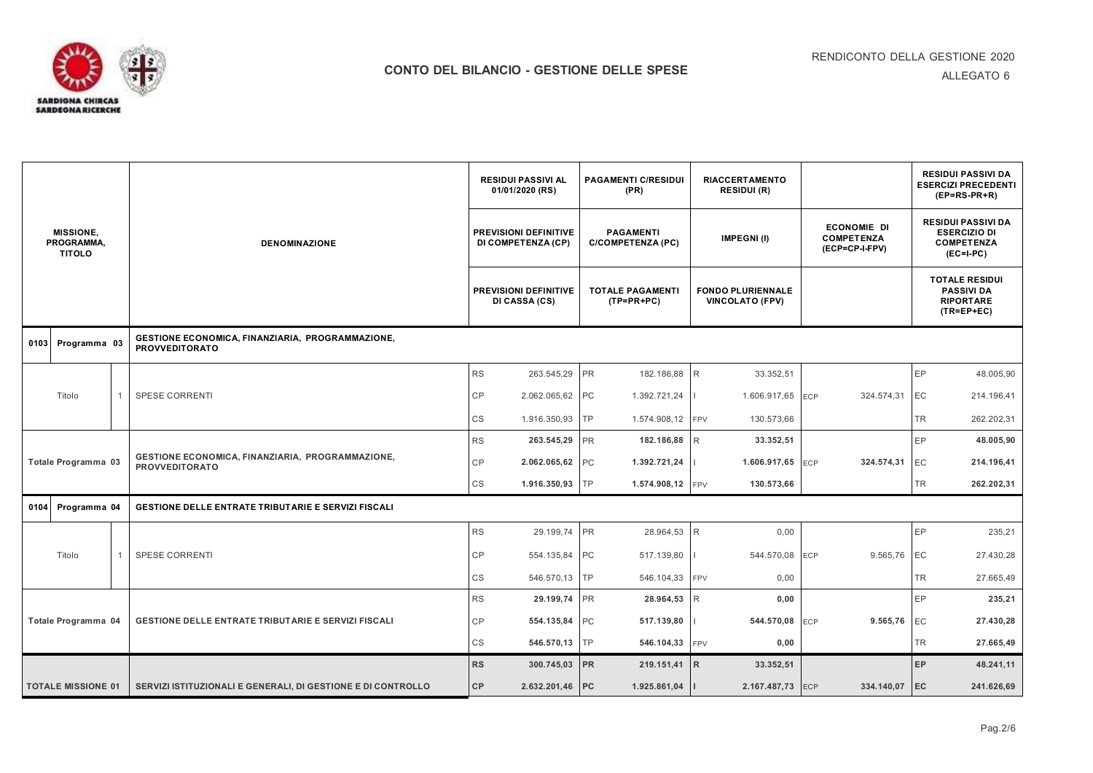

| <b>MISSIONE,</b><br>PROGRAMMA,<br><b>TITOLO</b> |                           |  | <b>DENOMINAZIONE</b>                                                      |                                               | <b>RESIDUI PASSIVI AL</b><br>01/01/2020 (RS) |                                         | <b>PAGAMENTI C/RESIDUI</b><br>(PR)           | <b>RIACCERTAMENTO</b><br><b>RESIDUI (R)</b>        |                                                           |                                                                                | <b>RESIDUI PASSIVI DA</b><br><b>ESERCIZI PRECEDENTI</b><br>$(EP=RS-PR+R)$            |
|-------------------------------------------------|---------------------------|--|---------------------------------------------------------------------------|-----------------------------------------------|----------------------------------------------|-----------------------------------------|----------------------------------------------|----------------------------------------------------|-----------------------------------------------------------|--------------------------------------------------------------------------------|--------------------------------------------------------------------------------------|
|                                                 |                           |  |                                                                           |                                               | PREVISIONI DEFINITIVE<br>DI COMPETENZA (CP)  |                                         | <b>PAGAMENTI</b><br><b>C/COMPETENZA (PC)</b> | <b>IMPEGNI(I)</b>                                  | <b>ECONOMIE DI</b><br><b>COMPETENZA</b><br>(ECP=CP-I-FPV) |                                                                                | <b>RESIDUI PASSIVI DA</b><br><b>ESERCIZIO DI</b><br><b>COMPETENZA</b><br>$(EC=I-PC)$ |
|                                                 |                           |  |                                                                           | <b>PREVISIONI DEFINITIVE</b><br>DI CASSA (CS) |                                              | <b>TOTALE PAGAMENTI</b><br>$(TP=PR+PC)$ |                                              | <b>FONDO PLURIENNALE</b><br><b>VINCOLATO (FPV)</b> |                                                           | <b>TOTALE RESIDUI</b><br><b>PASSIVI DA</b><br><b>RIPORTARE</b><br>$(TR=EP+EC)$ |                                                                                      |
| 0103                                            | Programma 03              |  | GESTIONE ECONOMICA, FINANZIARIA, PROGRAMMAZIONE,<br><b>PROVVEDITORATO</b> |                                               |                                              |                                         |                                              |                                                    |                                                           |                                                                                |                                                                                      |
|                                                 |                           |  |                                                                           | <b>RS</b>                                     | 263.545,29                                   | <b>PR</b>                               | 182.186,88 R                                 | 33.352.51                                          |                                                           | EP                                                                             | 48.005,90                                                                            |
|                                                 | Titolo                    |  | <b>SPESE CORRENTI</b>                                                     | CР                                            | 2.062.065,62                                 | PC                                      | 1.392.721,24                                 | 1.606.917,65                                       | 324.574,31<br>ECP                                         | EC                                                                             | 214.196,41                                                                           |
|                                                 |                           |  |                                                                           | CS                                            | 1.916.350,93                                 | <b>TP</b>                               | 1.574.908,12 FPV                             | 130.573,66                                         |                                                           | <b>TR</b>                                                                      | 262.202,31                                                                           |
|                                                 |                           |  | GESTIONE ECONOMICA, FINANZIARIA, PROGRAMMAZIONE,<br><b>PROVVEDITORATO</b> | <b>RS</b>                                     | 263.545,29                                   | <b>PR</b>                               | 182.186,88 R                                 | 33.352,51                                          |                                                           |                                                                                | EP<br>48.005,90                                                                      |
|                                                 | Totale Programma 03       |  |                                                                           | CР                                            | 2.062.065,62                                 | PC                                      | 1.392.721,24                                 | 1.606.917,65                                       | 324.574,31<br>ECP                                         | EC                                                                             | 214.196,41                                                                           |
|                                                 |                           |  |                                                                           |                                               | 1.916.350,93                                 | <b>TP</b>                               | 1.574.908,12 FPV                             | 130.573,66                                         |                                                           |                                                                                | TR.<br>262.202,31                                                                    |
| 0104                                            | Programma 04              |  | <b>GESTIONE DELLE ENTRATE TRIBUTARIE E SERVIZI FISCALI</b>                |                                               |                                              |                                         |                                              |                                                    |                                                           |                                                                                |                                                                                      |
|                                                 |                           |  |                                                                           | <b>RS</b>                                     | 29.199,74                                    | <b>PR</b>                               | 28.964,53                                    | R<br>0,00                                          |                                                           | EP                                                                             | 235,21                                                                               |
|                                                 | Titolo                    |  | <b>SPESE CORRENTI</b>                                                     | CР                                            | 554.135,84                                   | PC                                      | 517.139,80                                   | 544.570,08 ECP                                     | 9.565,76 EC                                               |                                                                                | 27.430,28                                                                            |
|                                                 |                           |  |                                                                           | <b>CS</b>                                     | 546.570,13                                   | <b>TP</b>                               | 546.104,33 FPV                               | 0,00                                               |                                                           |                                                                                | TR<br>27.665,49                                                                      |
|                                                 |                           |  |                                                                           | RS                                            | 29.199,74                                    | PR                                      | 28.964,53 R                                  | 0,00                                               |                                                           | EP                                                                             | 235,21                                                                               |
|                                                 | Totale Programma 04       |  | <b>GESTIONE DELLE ENTRATE TRIBUTARIE E SERVIZI FISCALI</b>                | CР                                            | 554.135,84 PC                                |                                         | 517.139,80                                   | 544.570,08                                         | 9.565,76<br>ECP                                           | EC                                                                             | 27.430,28                                                                            |
|                                                 |                           |  |                                                                           | CS                                            | 546.570,13 TP                                |                                         | 546.104,33 FPV                               | 0,00                                               |                                                           |                                                                                | TR<br>27.665,49                                                                      |
|                                                 |                           |  |                                                                           | <b>RS</b>                                     | 300.745,03                                   | PR                                      | 219.151,41                                   | R<br>33.352,51                                     |                                                           | EP                                                                             | 48.241,11                                                                            |
|                                                 | <b>TOTALE MISSIONE 01</b> |  | SERVIZI ISTITUZIONALI E GENERALI, DI GESTIONE E DI CONTROLLO              | CP                                            | 2.632.201,46 PC                              |                                         | 1.925.861,04                                 | 2.167.487,73 ECP                                   | 334.140,07 EC                                             |                                                                                | 241.626,69                                                                           |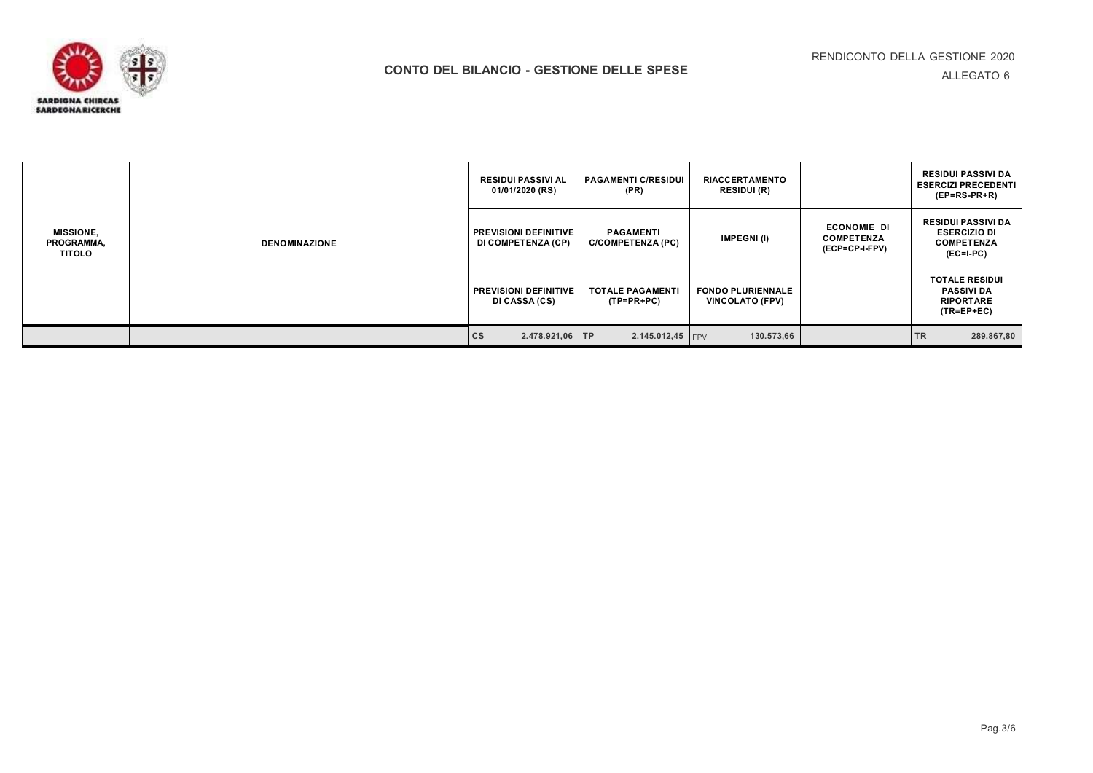ALLEGATO 6



| <b>MISSIONE,</b><br>PROGRAMMA,<br>TITOLO | <b>DENOMINAZIONE</b> | <b>RESIDUI PASSIVI AL</b><br>01/01/2020 (RS)       | <b>PAGAMENTI C/RESIDUI</b><br>(PR)           | <b>RIACCERTAMENTO</b><br><b>RESIDUI (R)</b>        |                                                           | <b>RESIDUI PASSIVI DA</b><br><b>ESERCIZI PRECEDENTI</b><br>$(EP=RS-PR+R)$            |
|------------------------------------------|----------------------|----------------------------------------------------|----------------------------------------------|----------------------------------------------------|-----------------------------------------------------------|--------------------------------------------------------------------------------------|
|                                          |                      | <b>PREVISIONI DEFINITIVE</b><br>DI COMPETENZA (CP) | <b>PAGAMENTI</b><br><b>C/COMPETENZA (PC)</b> | <b>IMPEGNI(I)</b>                                  | <b>ECONOMIE DI</b><br><b>COMPETENZA</b><br>(ECP=CP-I-FPV) | <b>RESIDUI PASSIVI DA</b><br><b>ESERCIZIO DI</b><br><b>COMPETENZA</b><br>$(EC=I-PC)$ |
|                                          |                      | <b>PREVISIONI DEFINITIVE</b><br>DI CASSA (CS)      | <b>TOTALE PAGAMENTI</b><br>(TP=PR+PC)        | <b>FONDO PLURIENNALE</b><br><b>VINCOLATO (FPV)</b> |                                                           | <b>TOTALE RESIDUI</b><br><b>PASSIVI DA</b><br><b>RIPORTARE</b><br>$(TR=EP+EC)$       |
|                                          |                      | <b>CS</b><br>2.478.921,06 TP                       | $2.145.012,45$ FPV                           | 130.573,66                                         |                                                           | <b>TR</b><br>289.867,80                                                              |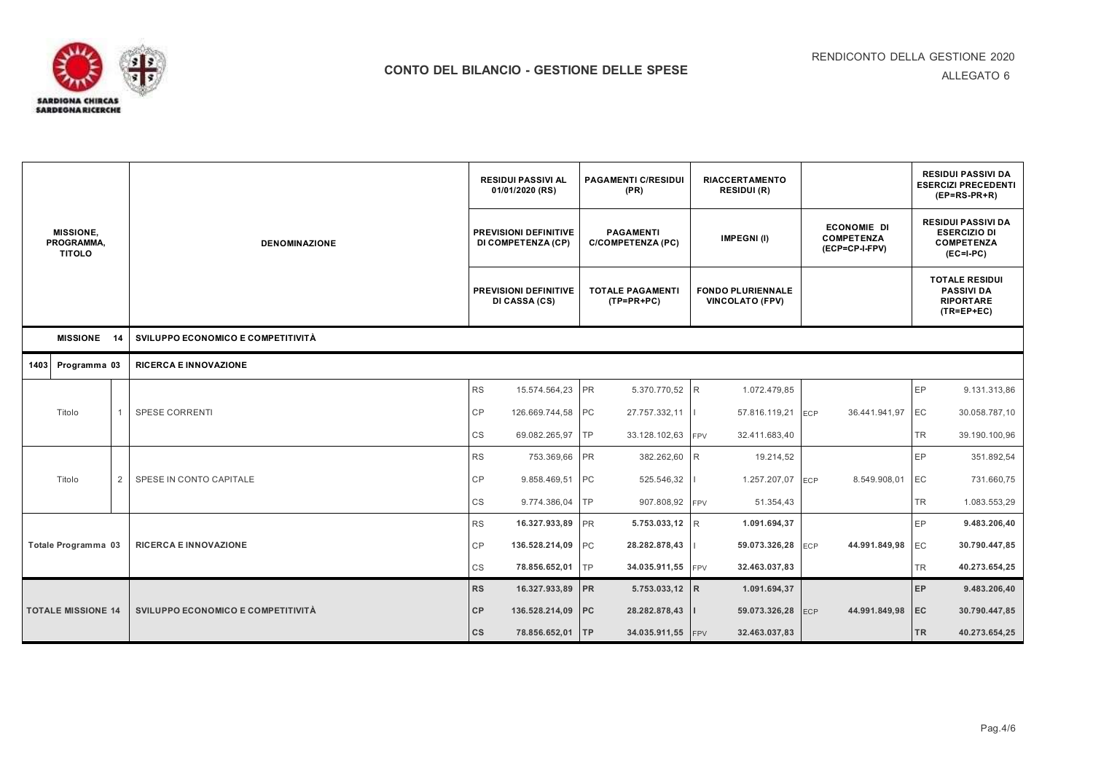

| <b>MISSIONE,</b><br>PROGRAMMA,<br><b>TITOLO</b> |                           |   |                                    |           | <b>RESIDUI PASSIVI AL</b><br>01/01/2020 (RS)       |           | <b>PAGAMENTI C/RESIDUI</b><br>(PR)           |            | <b>RIACCERTAMENTO</b><br><b>RESIDUI (R)</b>        |                                                           |                                                                                | <b>RESIDUI PASSIVI DA</b><br><b>ESERCIZI PRECEDENTI</b><br>$(EP=RS-PR+R)$            |  |
|-------------------------------------------------|---------------------------|---|------------------------------------|-----------|----------------------------------------------------|-----------|----------------------------------------------|------------|----------------------------------------------------|-----------------------------------------------------------|--------------------------------------------------------------------------------|--------------------------------------------------------------------------------------|--|
|                                                 |                           |   | <b>DENOMINAZIONE</b>               |           | <b>PREVISIONI DEFINITIVE</b><br>DI COMPETENZA (CP) |           | <b>PAGAMENTI</b><br><b>C/COMPETENZA (PC)</b> |            | IMPEGNI(I)                                         | <b>ECONOMIE DI</b><br><b>COMPETENZA</b><br>(ECP=CP-I-FPV) |                                                                                | <b>RESIDUI PASSIVI DA</b><br><b>ESERCIZIO DI</b><br><b>COMPETENZA</b><br>$(EC=I-PC)$ |  |
|                                                 |                           |   |                                    |           | PREVISIONI DEFINITIVE<br>DI CASSA (CS)             |           | <b>TOTALE PAGAMENTI</b><br>$(TP=PR+PC)$      |            | <b>FONDO PLURIENNALE</b><br><b>VINCOLATO (FPV)</b> |                                                           | <b>TOTALE RESIDUI</b><br><b>PASSIVI DA</b><br><b>RIPORTARE</b><br>$(TR=EP+EC)$ |                                                                                      |  |
| <b>MISSIONE</b><br>14                           |                           |   | SVILUPPO ECONOMICO E COMPETITIVITÀ |           |                                                    |           |                                              |            |                                                    |                                                           |                                                                                |                                                                                      |  |
| 1403                                            | Programma 03              |   | <b>RICERCA E INNOVAZIONE</b>       |           |                                                    |           |                                              |            |                                                    |                                                           |                                                                                |                                                                                      |  |
|                                                 |                           |   |                                    | RS        | 15.574.564,23                                      | PR        | 5.370.770,52 R                               |            | 1.072.479,85                                       |                                                           | <b>EP</b>                                                                      | 9.131.313,86                                                                         |  |
|                                                 | Titolo                    |   | <b>SPESE CORRENTI</b>              | CP        | 126.669.744,58 PC                                  |           | 27.757.332,11                                |            | 57.816.119,21                                      | 36.441.941,97<br><b>ECP</b>                               | EC                                                                             | 30.058.787,10                                                                        |  |
|                                                 |                           |   |                                    | CS        | 69.082.265,97                                      | TP        | 33.128.102,63                                | <b>FPV</b> | 32.411.683,40                                      |                                                           | TR.                                                                            | 39.190.100,96                                                                        |  |
|                                                 |                           |   |                                    | <b>RS</b> | 753.369,66                                         | <b>PR</b> | 382.262,60                                   | IR         | 19.214,52                                          |                                                           | <b>EP</b>                                                                      | 351.892,54                                                                           |  |
|                                                 | Titolo                    | 2 | SPESE IN CONTO CAPITALE            | CP        | 9.858.469,51                                       | <b>PC</b> | 525.546,32                                   |            | 1.257.207,07                                       | 8.549.908,01<br><b>ECP</b>                                | EC                                                                             | 731.660,75                                                                           |  |
|                                                 |                           |   |                                    | CS        | 9.774.386,04                                       | TР        | 907.808,92                                   | <b>FPV</b> | 51.354,43                                          |                                                           | TR                                                                             | 1.083.553,29                                                                         |  |
|                                                 |                           |   |                                    | <b>RS</b> | 16.327.933,89                                      | <b>PR</b> | 5.753.033,12 R                               |            | 1.091.694,37                                       |                                                           | <b>EP</b>                                                                      | 9.483.206,40                                                                         |  |
|                                                 | Totale Programma 03       |   | <b>RICERCA E INNOVAZIONE</b>       | CP        | 136.528.214,09                                     | PC        | 28.282.878,43                                |            | 59.073.326,28                                      | 44.991.849,98<br><b>ECP</b>                               | EC                                                                             | 30.790.447,85                                                                        |  |
|                                                 |                           |   |                                    | CS        | 78.856.652,01                                      | TP        | 34.035.911,55 FPV                            |            | 32.463.037,83                                      |                                                           | TR                                                                             | 40.273.654,25                                                                        |  |
|                                                 |                           |   |                                    | <b>RS</b> | 16.327.933,89                                      | <b>PR</b> | 5.753.033,12 R                               |            | 1.091.694,37                                       |                                                           | EP                                                                             | 9.483.206,40                                                                         |  |
|                                                 | <b>TOTALE MISSIONE 14</b> |   | SVILUPPO ECONOMICO E COMPETITIVITÀ | CP        | 136.528.214,09                                     | PC        | 28.282.878,43                                |            | 59.073.326,28                                      | 44.991.849,98<br>ECP                                      | EC                                                                             | 30.790.447,85                                                                        |  |
|                                                 |                           |   |                                    |           | 78.856.652,01 TP                                   |           | 34.035.911,55 FPV                            |            | 32.463.037,83                                      |                                                           | <b>TR</b>                                                                      | 40.273.654,25                                                                        |  |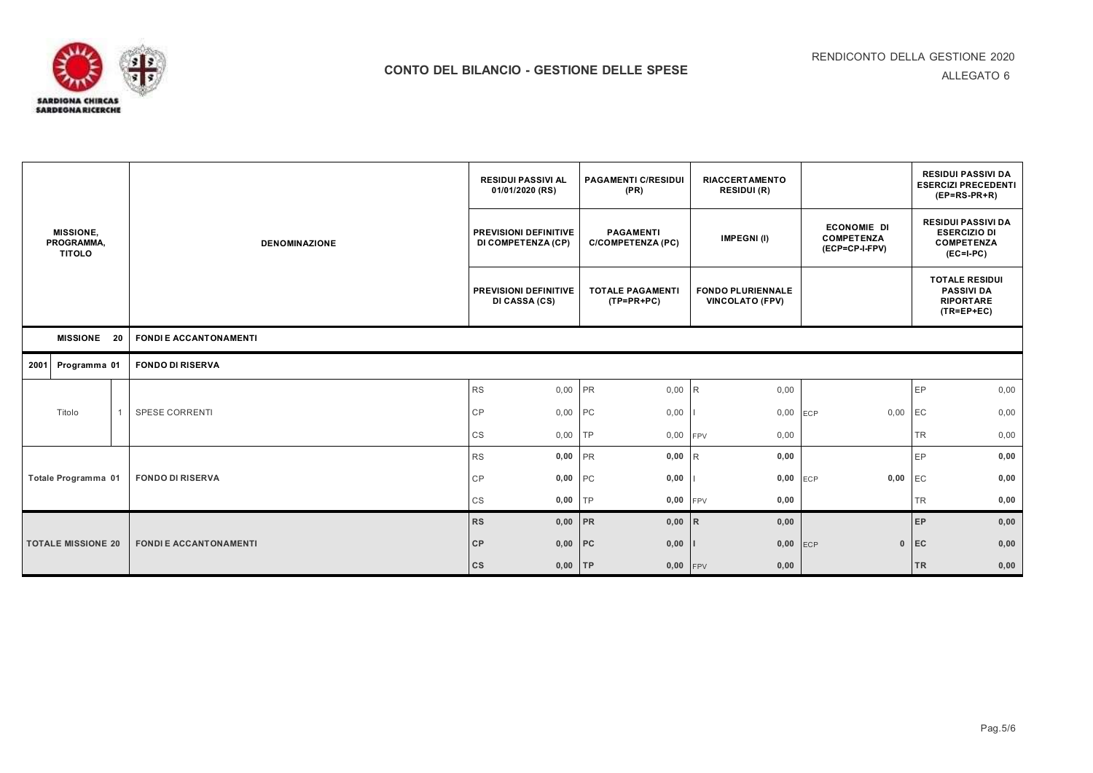

| <b>MISSIONE,</b><br>PROGRAMMA,<br><b>TITOLO</b> |                           |                               | <b>RESIDUI PASSIVI AL</b><br>01/01/2020 (RS)  | <b>PAGAMENTI C/RESIDUI</b><br>(PR)           | <b>RIACCERTAMENTO</b><br><b>RESIDUI (R)</b>        |                                                           | <b>RESIDUI PASSIVI DA</b><br><b>ESERCIZI PRECEDENTI</b><br>$(EP=RS-PR+R)$            |  |
|-------------------------------------------------|---------------------------|-------------------------------|-----------------------------------------------|----------------------------------------------|----------------------------------------------------|-----------------------------------------------------------|--------------------------------------------------------------------------------------|--|
|                                                 |                           | <b>DENOMINAZIONE</b>          | PREVISIONI DEFINITIVE<br>DI COMPETENZA (CP)   | <b>PAGAMENTI</b><br><b>C/COMPETENZA (PC)</b> | <b>IMPEGNI(I)</b>                                  | <b>ECONOMIE DI</b><br><b>COMPETENZA</b><br>(ECP=CP-I-FPV) | <b>RESIDUI PASSIVI DA</b><br><b>ESERCIZIO DI</b><br><b>COMPETENZA</b><br>$(EC=I-PC)$ |  |
|                                                 |                           |                               | <b>PREVISIONI DEFINITIVE</b><br>DI CASSA (CS) | <b>TOTALE PAGAMENTI</b><br>$(TP=PR+PC)$      | <b>FONDO PLURIENNALE</b><br><b>VINCOLATO (FPV)</b> |                                                           | <b>TOTALE RESIDUI</b><br><b>PASSIVI DA</b><br><b>RIPORTARE</b><br>$(TR=EP+EC)$       |  |
|                                                 | MISSIONE 20               |                               |                                               |                                              |                                                    |                                                           |                                                                                      |  |
|                                                 | 2001 Programma 01         | <b>FONDO DI RISERVA</b>       |                                               |                                              |                                                    |                                                           |                                                                                      |  |
|                                                 |                           |                               | 0,00 PR<br><b>RS</b>                          | 0,00                                         | 0,00<br>IR                                         |                                                           | EP<br>0,00                                                                           |  |
|                                                 | Titolo                    | SPESE CORRENTI                | 0,00 PC<br>CP                                 | 0,00                                         | 0,00                                               | 0,00<br><b>ECP</b>                                        | 0,00<br>EC                                                                           |  |
|                                                 |                           |                               | CS<br>0,00                                    | <b>TP</b><br>0,00                            | 0,00<br>FPV                                        |                                                           | TR<br>0,00                                                                           |  |
|                                                 |                           |                               | 0,00<br><b>RS</b>                             | PR<br>0,00                                   | 0,00<br>R                                          |                                                           | 0,00<br>EP                                                                           |  |
|                                                 | Totale Programma 01       | <b>FONDO DI RISERVA</b>       | 0,00 PC<br>CP                                 | 0,00                                         | 0,00                                               | 0,00<br><b>ECP</b>                                        | 0,00<br>EC                                                                           |  |
|                                                 |                           |                               | CS<br>$0,00$ TP                               | 0,00                                         | 0,00<br><b>FPV</b>                                 |                                                           | 0,00<br>TR                                                                           |  |
|                                                 |                           |                               | 0,00 PR<br><b>RS</b>                          | 0,00                                         | 0,00<br>IR                                         |                                                           | EP<br>0,00                                                                           |  |
|                                                 | <b>TOTALE MISSIONE 20</b> | <b>FONDI E ACCANTONAMENTI</b> | $0,00$ PC<br>CP                               | 0,00                                         | 0,00                                               | ECP<br>$\mathbf{0}$                                       | EC<br>0,00                                                                           |  |
|                                                 |                           |                               | $\mathsf{cs}$<br>$0,00$ TP                    | 0,00                                         | 0,00<br>FPV                                        |                                                           | <b>TR</b><br>0,00                                                                    |  |